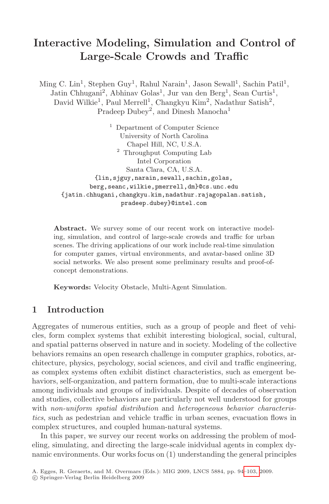# **Interactive Modeling, Simulation and Control of Large-Scale Crowds and Traffic**

Ming C. Lin<sup>1</sup>, Stephen Guy<sup>1</sup>, Rahul Narain<sup>1</sup>, Jason Sewall<sup>1</sup>, Sachin Patil<sup>1</sup>, Jatin Chhugani<sup>2</sup>, Abhinav Golas<sup>1</sup>, Jur van den Berg<sup>1</sup>, Sean Curtis<sup>1</sup>, David Wilkie<sup>1</sup>, Paul Merrell<sup>1</sup>, Changkyu Kim<sup>2</sup>, Nadathur Satish<sup>2</sup>, Pradeep Dubey<sup>2</sup>, and Dinesh Manocha<sup>1</sup>

<sup>1</sup> Department of Computer Science University of North Carolina Chapel Hill, NC, U.S.A.  $^{\rm 2}$  Throughput Computing Lab Intel Corporation Santa Clara, CA, U.S.A. {lin,sjguy,narain,sewall,sachin,golas, berg,seanc,wilkie,pmerrell,dm}@cs.unc.edu {jatin.chhugani,changkyu.kim,nadathur.rajagopalan.satish, pradeep.dubey}@intel.com

**Abstract.** We survey some of our recent work on interactive modeling, simulation, and control of large-scale crowds and traffic for urban scenes. The driving applications of our work include real-time simulation for computer games, virtual environments, and avatar-based online 3D social networks. We also present some preliminary results and proof-ofconcept demonstrations.

**Keywords:** Velocity Obstacle, Multi-Agent Simulation.

## **1 Introduction**

Aggregates of numerous entities, such as a group of people and fleet of vehicles, form complex systems that exhibit interesting biological, social, cultural, and spatial patterns observed in nature and in society. Modeling of the collective behaviors remains an open research challenge in computer graphics, robotics, architecture, physics, psychology, social sciences, and civil and traffic engineering, as complex systems often exhibit distinct characteristics, such as emergent behaviors, self-organization, and pattern formation, due to multi-scale interactions among individuals and groups of individuals. Despite of decades of observation and studies, collective behaviors are particul[arly n](#page-9-0)ot well understood for groups with *non-uniform spatial distribution* and *heterogeneous behavior characteristics*, such as pedestrian and vehicle traffic in urban scenes, evacuation flows in complex structures, and coupled human-natural systems.

In this paper, we survey our recent works on addressing the problem of modeling, simulating, and directing the large-scale inidvidual agents in complex dynamic environments. Our works focus on (1) understanding the general principles

A. Egges, R. Geraerts, and M. Overmars (Eds.): MIG 2009, LNCS 5884, pp. 94–103, 2009.

<sup>-</sup>c Springer-Verlag Berlin Heidelberg 2009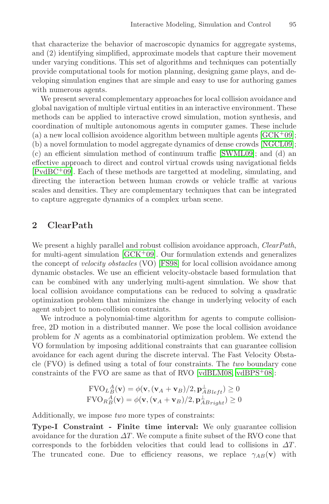that characterize the behavior of macroscopic dynamics for aggregate systems, and (2) identifying simplified, approximate models that capture their movement under varying conditions. This set of algorithms [and techniq](#page-9-1)ues can potentially provide computational tools for motion planning, [designing](#page-9-2) game plays, and developing simulation engines that are s[imple and](#page-9-3) easy to use for authoring games with numerous agents.

We present several complementary approaches for local collision avoidance and global navigation of multiple virtual entities in an interactive environment. These methods can be applied to interactive crowd simulation, motion synthesis, and coordination of multiple autonomous agents in computer games. These include (a) a new local collision avoidence algorithm between multiple agents  $[GCK<sup>+</sup>09]$ ; (b) a novel formulation to model aggregate dynamics of dense crowds [NGCL09]; (c) an efficient simulation method of continuum traffic [SWML09]; and (d) an effective approach to direct and control virtual crowds using navigational fields  $[PvdBC<sup>+</sup>09]$ . Each of these methods are targetted at modeling, simulating, and directin[g the inte](#page-9-1)raction between human crowds or vehicle traffic at various scales and densities[. They](#page-9-4) are complementary techniques that can be integrated to capture aggregate dynamics of a complex urban scene.

## **2 ClearPath**

We present a highly parallel and robust collision avoidance approach, *ClearPath*, for multi-agent simulation  $[GCK^+09]$ . Our formulation extends and generalizes the concept of *velocity obstacles* (VO) [FS98] for local collision avoidance among dynamic obstacles. We use an efficient velocity-obstacle based formulation that can be combined with any underlying multi-agent simulation. We show that local collision avoidance computations can be reduced to solving a quadratic optimization problem that mi[nimizes the](#page-9-5) [change in u](#page-9-6)nderlying velocity of each agent subject to non-collision constraints.

We introduce a polynomial-time algorithm for agents to compute collisionfree, 2D motion in a distributed manner. We pose the local collision avoidance problem for N agents as a combinatorial optimization problem. We extend the VO formulation by imposing additional constraints that can guarantee collision avoidance for each agent during the discrete interval. The Fast Velocity Obstacle (FVO) is defined using a total of four constraints. The *two* boundary cone constraints of the FVO are same as that of RVO [vdBLM08, vdBPS<sup>+</sup>08]:

$$
\text{FVO}_L{}^A_B(\mathbf{v}) = \phi(\mathbf{v}, (\mathbf{v}_A + \mathbf{v}_B)/2, \mathbf{p}_{ABleft}^{\perp}) \ge 0
$$
  
\n
$$
\text{FVO}_R{}^A_B(\mathbf{v}) = \phi(\mathbf{v}, (\mathbf{v}_A + \mathbf{v}_B)/2, \mathbf{p}_{ABright}^{\perp}) \ge 0
$$

Additionally, we impose *two* more types of constraints:

**Type-I Constraint - Finite time interval:** We only guarantee collision avoidance for the duration  $\Delta T$ . We compute a finite subset of the RVO cone that corresponds to the forbidden velocities that could lead to collisions in  $\Delta T$ . The truncated cone. Due to efficiency reasons, we replace  $\gamma_{AB}(\mathbf{v})$  with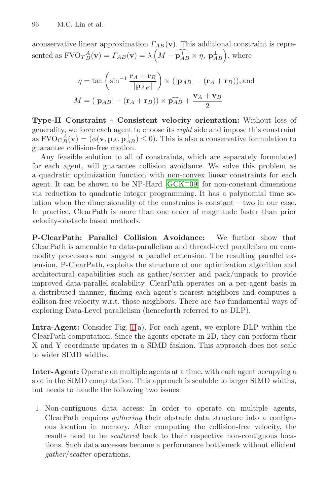96 M.C. Lin et al.

aconservative linear approximation  $\Gamma_{AB}(\mathbf{v})$ . This additional constraint is represented as  $FVO_T{}^A_B(\mathbf{v}) = \Gamma_{AB}(\mathbf{v}) = \lambda \left( M - \widehat{\mathbf{p}_{AB}^{\perp}} \times \eta, \mathbf{p}_{AB}^{\perp} \right)$ , where

$$
\eta = \tan\left(\sin^{-1}\frac{\mathbf{r}_A + \mathbf{r}_B}{|\mathbf{p}_{AB}|}\right) \times (|\mathbf{p}_{AB}| - (\mathbf{r}_A + \mathbf{r}_B)),
$$
and  

$$
M = (|\mathbf{p}_{AB}| - (\mathbf{r}_A + \mathbf{r}_B)) \times \widehat{\mathbf{p}_{AB}} + \frac{\mathbf{v}_A + \mathbf{v}_B}{2}
$$

**Type-II Constrain[t](#page-9-1) [-](#page-9-1) [Cons](#page-9-1)istent velocity orientation:** Without loss of generality, we force each agent to choose its *right* side and impose this constraint as  $\text{FVO}_C^A_B(\mathbf{v}) = (\phi(\mathbf{v}, \mathbf{p}_A, \mathbf{p}_{AB}^{\perp}) \leq 0)$ . This is also a conservative formulation to guarantee collision-free motion guarantee collision-free motion.

Any feasible solution to all of constraints, which are separately formulated for each agent, will guarantee collision avoidance. We solve this problem as a quadratic optimization function with non-convex linear constraints for each agent. It can be shown to be NP-Hard  $[GCK<sup>+</sup>09]$  for non-constant dimensions via reduction to quadratic integer programming. It has a polynomial time solution when the dimensionality of the constrains is constant – two in our case. In practice, ClearPath is more than one order of magnitude faster than prior velocity-obstacle based methods.

**P-ClearPath: Parallel Collision Avoidance:** We further show that ClearPath is amenable to data-parallelism and thread-level parallelism on commodity pr[oc](#page-3-0)essors and suggest a parallel extension. The resulting parallel extension, P-ClearPath, exploits the structure of our optimization algorithm and architectural capabilities such as gather/scatter and pack/unpack to provide improved data-parallel scalability. ClearPath operates on a per-agent basis in a distributed manner, finding each agent's nearest neighbors and computes a collison-free velocity w.r.t. those neighbors. There are *two* fundamental ways of exploring Data-Level parallelism (henceforth referred to as DLP).

**Intra-Agent:** Consider Fig. 1(a). For each agent, we explore DLP within the ClearPath computation. Since the agents operate in 2D, they can perform their X and Y coordinate updates in a SIMD fashion. This approach does not scale to wider SIMD widths.

**Inter-Agent:** Operate on multiple agents at a time, with each agent occupying a slot in the SIMD computation. This approach is scalable to larger SIMD widths, but needs to handle the following two issues:

1. Non-contiguous data access: In order to operate on multiple agents, ClearPath requires *gathering* their obstacle data structure into a contiguous location in memory. After computing the collision-free velocity, the results need to be *scattered* back to their respective non-contiguous locations. Such data accesses become a performance bottleneck without efficient *gather*/*scatter* operations.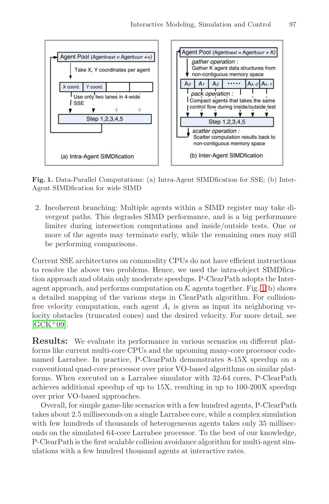

<span id="page-3-0"></span>**Fig. 1.** Data-Parallel Computations: (a) Intra-Agent SIMDfication for SSE; (b) Inter-Agent SIMDfication for wide SIMD

2. Incoherent branching: Multiple agents within a SIMD register may take divergent paths. This degrades SIMD performa[nc](#page-3-0)e, and is a big performance limiter during intersection computations and inside/outside tests. One or more of the agents may terminate early, while the remaining ones may still be performing comparisons.

Current SSE architectures on commodity CPUs do not have efficient instructions to resolve the above two problems. Hence, we used the intra-object SIMDfication approach and obtain only moderate speedups. P-ClearPath adopts the Interagent approach, and performs computation on  $K$  agents together. Fig. 1(b) shows a detailed mapping of the various steps in ClearPath algorithm. For collisionfree velocity computation, each agent  $A_i$  is given as input its neighboring velocity obstacles (truncated cones) and the desired velocity. For more detail, see  $[GCK+09]$ .

**Results:** We evaluate its performance in various scenarios on different platforms like current multi-core CPUs and the upcoming many-core processor codenamed Larrabee. In practice, P-ClearPath demonstrates 8-15X speedup on a conventional quad-core processor over prior VO-based algorithms on similar platforms. When executed on a Larrabee simulator with 32-64 cores, P-ClearPath achieves additional speedup of up to 15X, resulting in up to 100-200X speedup over prior VO-based approaches.

Overall, for simple game-like scenarios with a few hundred agents, P-ClearPath takes about 2.5 milliseconds on a single Larrabee core, while a complex simulation with few hundreds of thousands of heterogeneous agents takes only 35 milliseconds on the simulated 64-core Larrabee processor. To the best of our knowledge, P-ClearPath is the first scalable collision avoidance algorithm for multi-agent simulations with a few hundred thousand agents at interactive rates.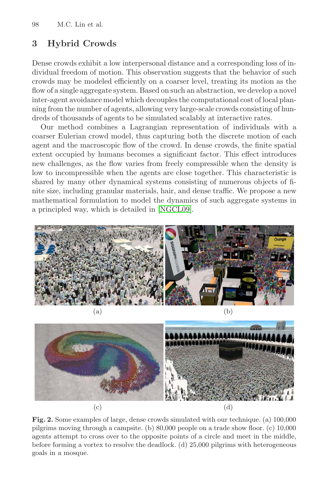98 M.C. Lin et al.

## **3 Hybrid Crowds**

Dense crowds exhibit a low interpersonal distance and a corresponding loss of individual freedom of motion. This observation suggests that the behavior of such crowds may be modeled efficiently on a coarser level, treating its motion as the flow of a single aggregate system. Based on such an abstraction, we develop a novel inter-agent avoidance model which decouples the computational cost of local planning from the number of agents, allowing very large-scale crowds consisting of hundreds of thousands of agents to be simulated scalably at interactive rates.

Our method combines a Lagrangian representation of individuals with a coarser Eulerian cr[owd mode](#page-9-2)l, thus capturing both the discrete motion of each agent and the macroscopic flow of the crowd. In dense crowds, the finite spatial extent occupied by humans becomes a significant factor. This effect introduces new challenges, as the flow varies from freely compressible when the density is low to incompressible when the agents are close together. This characteristic is shared by many other dynamical systems consisting of numerous objects of finite size, including granular materials, hair, and dense traffic. We propose a new mathematical formulation to model the dynamics of such aggregate systems in a principled way, which is detailed in [NGCL09].





**Fig. 2.** Some examples of large, dense crowds simulated with our technique. (a) 100,000 pilgrims moving through a campsite. (b) 80,000 people on a trade show floor. (c) 10,000 agents attempt to cross over to the opposite points of a circle and meet in the middle, before forming a vortex to resolve the deadlock. (d) 25,000 pilgrims with heterogeneous goals in a mosque.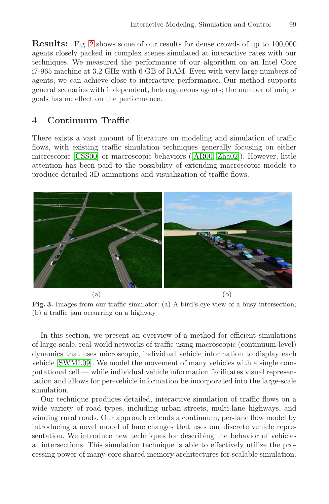**Results:** Fig. 2 shows some of our results for dense crowds of up to 100,000 agents closely packed in complex scenes simulated at interactive rates with our techniques. We measured the performance of our algorithm on an Intel Core i7-965 machine at 3.2 GHz with 6 GB of RAM. Even with very large numbers of agents, we can achieve close to interactive performance. Our method supports [g](#page-9-7)eneral scenarios with indepe[ndent,](#page-9-8) [heterog](#page-9-9)eneous agents; the number of unique goals has no effect on the performance.

#### **4 Continuum Traffic**

There exists a vast amount of literature on modeling and simulation of traffic flows, with existing traffic simulation techniques generally focusing on either microscopic [CSS00] or macroscopic behaviors ([AR00, Zha02]). However, little attention has been paid to the possibility of extending macroscopic models to produce detailed 3D animations and visualization of traffic flows.

<span id="page-5-0"></span>

**Fig. 3.** Images from our traffic simulator: (a) A bird's-eye view of a busy intersection; (b) a traffic jam occurring on a highway

In this section, we present an overview of a method for efficient simulations of large-scale, real-world networks of traffic using macroscopic (continuum-level) dynamics that uses microscopic, individual vehicle information to display each vehicle [SWML09]. We model the movement of many vehicles with a single computational cell — while individual vehicle information facilitates visual representation and allows for per-vehicle information be incorporated into the large-scale simulation.

Our technique produces detailed, interactive simulation of traffic flows on a wide variety of road types, including urban streets, multi-lane highways, and winding rural roads. Our approach extends a continuum, per-lane flow model by introducing a novel model of lane changes that uses our discrete vehicle representation. We introduce new techniques for describing the behavior of vehicles at intersections. This simulation technique is able to effectively utilize the processing power of many-core shared memory architectures for scalable simulation.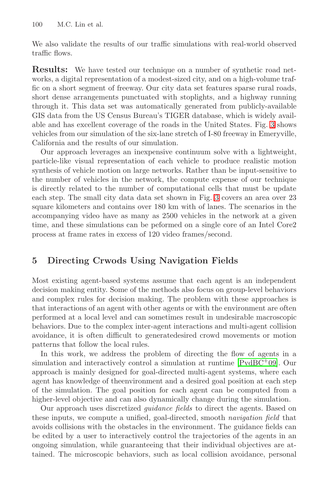100 M.C. Lin et al.

We also validate the results of our traffic simulations with real-world observed traffic flows.

**Results:** We have tested our technique on a number of synthetic road networks, a digital representation of a modest-sized city, and on a high-volume traffic on a short segment of freeway. Our city data set features sparse rural roads, short dense arrangements punctuated with stoplights, and a highway running through it. This data set was automatically generated from publicly-available GIS data from the US Census Bureau's TIGER database, which is widely available and has excellent coverage of [the](#page-5-0) roads in the United States. Fig. 3 shows vehicles from our simulation of the six-lane stretch of I-80 freeway in Emeryville, California and the results of our simulation.

Our approach leverages an inexpensive continuum solve with a lightweight, particle-like visual representation of each vehicle to produce realistic motion synthesis of vehicle motion on large networks. Rather than be input-sensitive to the number of vehicles in the network, the compute expense of our technique is directly related to the number of computational cells that must be update each step. The small city data data set shown in Fig. 3 covers an area over 23 square kilometers and contains over 180 km with of lanes. The scenarios in the accompanying video have as many as 2500 vehicles in the network at a given time, and these simulations can be peformed on a single core of an Intel Core2 process at frame rates in excess of 120 video frames/second.

## **5 Directing Crwods Using Navigation Fields**

Most existing agent-based systems assume that each agent is an independent decision making entity. Some of the metho[ds also focus](#page-9-10) on group-level behaviors and complex rules for decision making. The problem with these approaches is that interactions of an agent with other agents or with the environment are often performed at a local level and can sometimes result in undesirable macroscopic behaviors. Due to the complex inter-agent interactions and multi-agent collision avoidance, it is often difficult to generatedesired crowd movements or motion patterns that follow the local rules.

In this work, we address the problem of directing the flow of agents in a simulation and interactively control a simulation at runtime [PvdBC<sup>+</sup>09]. Our approach is mainly designed for goal-directed multi-agent systems, where each agent has knowledge of theenvironment and a desired goal position at each step of the simulation. The goal position for each agent can be computed from a higher-level objective and can also dynamically change during the simulation.

Our approach uses discretized *guidance fields* to direct the agents. Based on these inputs, we compute a unified, goal-directed, smooth *navigation field* that avoids collisions with the obstacles in the environment. The guidance fields can be edited by a user to interactively control the trajectories of the agents in an ongoing simulation, while guaranteeing that their individual objectives are attained. The microscopic behaviors, such as local collision avoidance, personal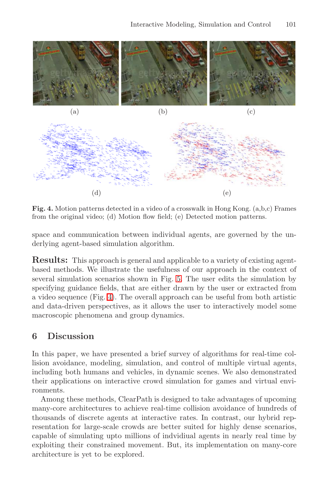

Fig. 4. Motion patterns d[ete](#page-8-0)cted in a video of a crosswalk in Hong Kong. (a,b,c) Frames from the original video; (d) Motion flow field; (e) Detected motion patterns.

space and communication between individual agents, are governed by the underlying agent-based simulation algorithm.

**Results:** This approach is general and applicable to a variety of existing agentbased methods. We illustrate the usefulness of our approach in the context of several simulation scenarios shown in Fig. 5. The user edits the simulation by specifying guidance fields, that are either drawn by the user or extracted from a video sequence (Fig. 4). The overall approach can be useful from both artistic and data-driven perspectives, as it allows the user to interactively model some macroscopic phenomena and group dynamics.

#### **6 Discussion**

In this paper, we have presented a brief survey of algorithms for real-time collision avoidance, modeling, simulation, and control of multiple virtual agents, including both humans and vehicles, in dynamic scenes. We also demonstrated their applications on interactive crowd simulation for games and virtual environments.

Among these methods, ClearPath is designed to take advantages of upcoming many-core architectures to achieve real-time collision avoidance of hundreds of thousands of discrete agents at interactive rates. In contrast, our hybrid representation for large-scale crowds are better suited for highly dense scenarios, capable of simulating upto millions of indvidiual agents in nearly real time by exploiting their constrained movement. But, its implementation on many-core architecture is yet to be explored.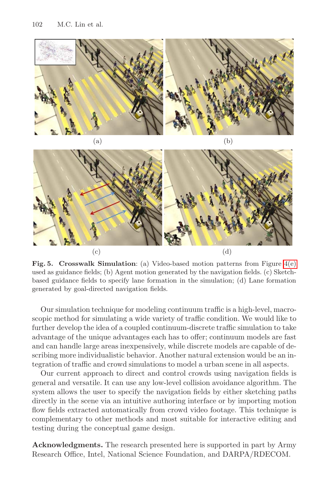



<span id="page-8-0"></span>**Fig. 5. Crosswalk Simulation**: (a) Video-based motion patterns from Figure 4(e) used as guidance fields; (b) Agent motion generated by the navigation fields. (c) Sketchbased guidance fields to specify lane formation in the simulation; (d) Lane formation generated by goal-directed navigation fields.

Our simulation technique for modeling continuum traffic is a high-level, macroscopic method for simulating a wide variety of traffic condition. We would like to further develop the idea of a coupled continuum-discrete traffic simulation to take advantage of the unique advantages each has to offer; continuum models are fast and can handle large areas inexpensively, while discrete models are capable of describing more individualistic behavior. Another natural extension would be an integration of traffic and crowd simulations to model a urban scene in all aspects.

Our current approach to direct and control crowds using navigation fields is general and versatile. It can use any low-level collision avoidance algorithm. The system allows the user to specify the navigation fields by either sketching paths directly in the scene via an intuitive authoring interface or by importing motion flow fields extracted automatically from crowd video footage. This technique is complementary to other methods and most suitable for interactive editing and testing during the conceptual game design.

**Acknowledgments.** The research presented here is supported in part by Army Research Office, Intel, National Science Foundation, and DARPA/RDECOM.